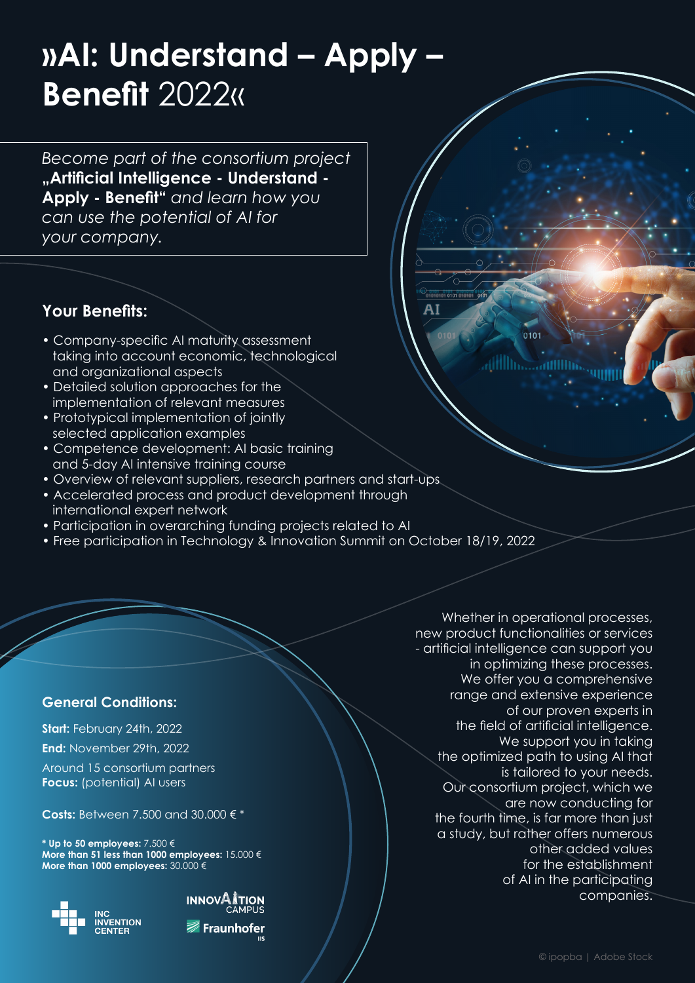# **»AI: Understand – Apply – Benefit** 2022«

*Become part of the consortium project*  **"Artificial Intelligence - Understand - Apply - Benefit"** *and learn how you can use the potential of AI for your company.*

### **Your Benefits:**

- Company-specific AI maturity assessment taking into account economic, technological and organizational aspects
- Detailed solution approaches for the implementation of relevant measures
- Prototypical implementation of jointly selected application examples
- Competence development: AI basic training and 5-day AI intensive training course
- Overview of relevant suppliers, research partners and start-ups
- Accelerated process and product development through international expert network
- Participation in overarching funding projects related to AI
- Free participation in Technology & Innovation Summit on October 18/19, 2022

### **General Conditions:**

**Start:** February 24th, 2022 **End:** November 29th, 2022

Around 15 consortium partners **Focus:** (potential) AI users

**Costs:** Between 7.500 and 30.000 € \*

**\* Up to 50 employees:** 7.500 € **More than 51 less than 1000 employees:** 15.000 € **More than 1000 employees:** 30.000 €





Whether in operational processes, new product functionalities or services - artificial intelligence can support you in optimizing these processes. We offer you a comprehensive range and extensive experience of our proven experts in the field of artificial intelligence. We support you in taking the optimized path to using AI that is tailored to your needs. Our consortium project, which we are now conducting for the fourth time, is far more than just a study, but rather offers numerous other added values for the establishment of AI in the participating companies.

<mark>oi 0101 010101(</mark><br>10101 **0101** 01010

AI